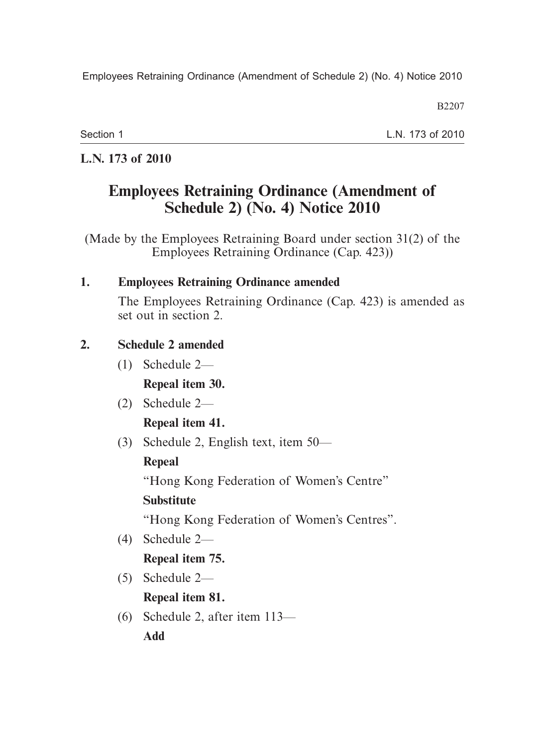Employees Retraining Ordinance (Amendment of Schedule 2) (No. 4) Notice 2010

B2207

Section 1

L.N. 173 of 2010

### **L.N. 173 of 2010**

# **Employees Retraining Ordinance (Amendment of Schedule 2) (No. 4) Notice 2010**

(Made by the Employees Retraining Board under section 31(2) of the Employees Retraining Ordinance (Cap. 423))

#### **1. Employees Retraining Ordinance amended**

The Employees Retraining Ordinance (Cap. 423) is amended as set out in section 2.

### **2. Schedule 2 amended**

- (1) Schedule 2— **Repeal item 30.**
- (2) Schedule 2— **Repeal item 41.**
- (3) Schedule 2, English text, item 50—

## **Repeal**

"Hong Kong Federation of Women's Centre"

## **Substitute**

"Hong Kong Federation of Women's Centres".

(4) Schedule 2—

## **Repeal item 75.**

(5) Schedule 2—

**Repeal item 81.**

 (6) Schedule 2, after item 113— **Add**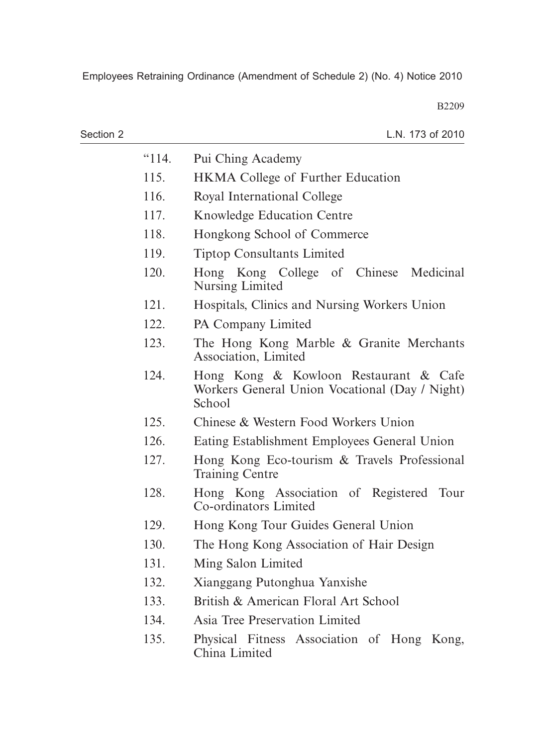B2209

| Section 2 |       | L.N. 173 of 2010                                                                                  |
|-----------|-------|---------------------------------------------------------------------------------------------------|
|           | "114. | Pui Ching Academy                                                                                 |
|           | 115.  | <b>HKMA</b> College of Further Education                                                          |
|           | 116.  | Royal International College                                                                       |
|           | 117.  | <b>Knowledge Education Centre</b>                                                                 |
|           | 118.  | Hongkong School of Commerce                                                                       |
|           | 119.  | <b>Tiptop Consultants Limited</b>                                                                 |
|           | 120.  | Hong Kong College of Chinese Medicinal<br>Nursing Limited                                         |
|           | 121.  | Hospitals, Clinics and Nursing Workers Union                                                      |
|           | 122.  | PA Company Limited                                                                                |
|           | 123.  | The Hong Kong Marble & Granite Merchants<br>Association, Limited                                  |
|           | 124.  | Hong Kong & Kowloon Restaurant & Cafe<br>Workers General Union Vocational (Day / Night)<br>School |
|           | 125.  | Chinese & Western Food Workers Union                                                              |
|           | 126.  | Eating Establishment Employees General Union                                                      |
|           | 127.  | Hong Kong Eco-tourism & Travels Professional<br><b>Training Centre</b>                            |
|           | 128.  | Hong Kong Association of Registered Tour<br>Co-ordinators Limited                                 |
|           | 129.  | Hong Kong Tour Guides General Union                                                               |
|           | 130.  | The Hong Kong Association of Hair Design                                                          |
|           | 131.  | Ming Salon Limited                                                                                |
|           | 132.  | Xianggang Putonghua Yanxishe                                                                      |
|           | 133.  | British & American Floral Art School                                                              |
|           | 134.  | Asia Tree Preservation Limited                                                                    |
|           | 135.  | Physical Fitness Association of Hong Kong,<br>China Limited                                       |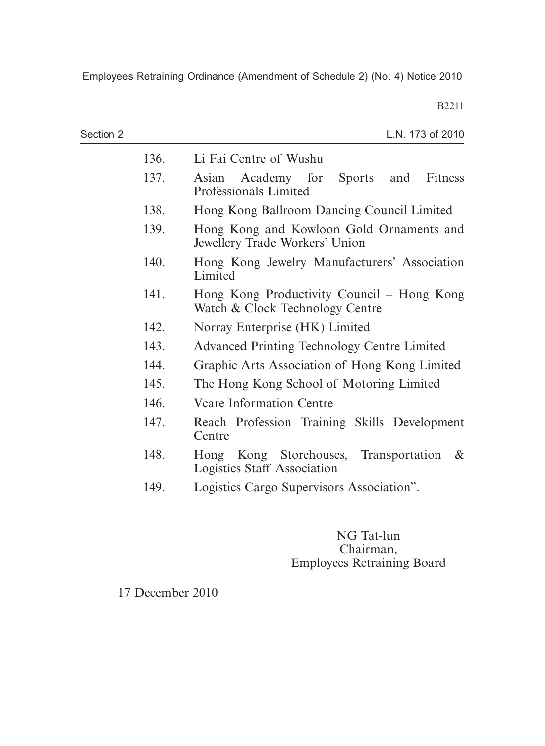Employees Retraining Ordinance (Amendment of Schedule 2) (No. 4) Notice 2010

B2211

| Section 2 |      | L.N. 173 of 2010                                                                       |
|-----------|------|----------------------------------------------------------------------------------------|
|           | 136. | Li Fai Centre of Wushu                                                                 |
|           | 137. | Asian Academy for<br>Sports<br>Fitness<br>and<br>Professionals Limited                 |
|           | 138. | Hong Kong Ballroom Dancing Council Limited                                             |
|           | 139. | Hong Kong and Kowloon Gold Ornaments and<br>Jewellery Trade Workers' Union             |
|           | 140. | Hong Kong Jewelry Manufacturers' Association<br>Limited                                |
|           | 141. | Hong Kong Productivity Council – Hong Kong<br>Watch & Clock Technology Centre          |
|           | 142. | Norray Enterprise (HK) Limited                                                         |
|           | 143. | <b>Advanced Printing Technology Centre Limited</b>                                     |
|           | 144. | Graphic Arts Association of Hong Kong Limited                                          |
|           | 145. | The Hong Kong School of Motoring Limited                                               |
|           | 146. | <b>Veare Information Centre</b>                                                        |
|           | 147. | Reach Profession Training Skills Development<br>Centre                                 |
|           | 148. | Hong Kong Storehouses,<br>Transportation<br>$\&$<br><b>Logistics Staff Association</b> |
|           | 149. | Logistics Cargo Supervisors Association".                                              |

NG Tat-lun Chairman, Employees Retraining Board

17 December 2010